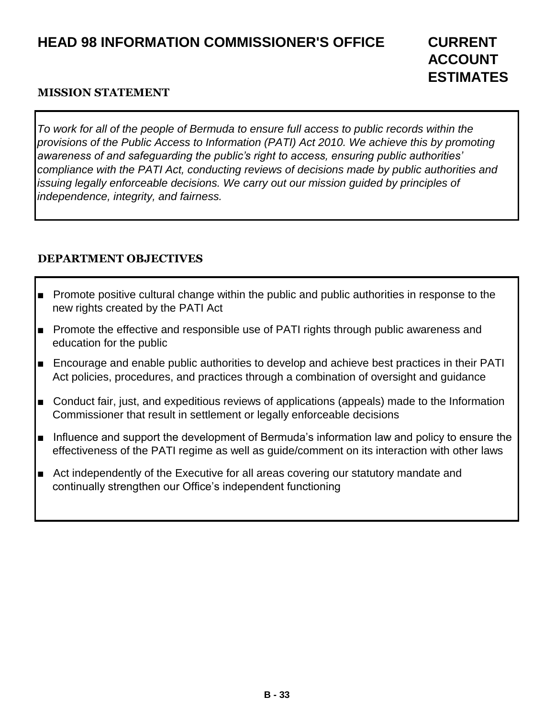# **HEAD 98 INFORMATION COMMISSIONER'S OFFICE CURRENT**

#### **MISSION STATEMENT**

*To work for all of the people of Bermuda to ensure full access to public records within the provisions of the Public Access to Information (PATI) Act 2010. We achieve this by promoting awareness of and safeguarding the public's right to access, ensuring public authorities' compliance with the PATI Act, conducting reviews of decisions made by public authorities and issuing legally enforceable decisions. We carry out our mission guided by principles of independence, integrity, and fairness.*

### **DEPARTMENT OBJECTIVES**

- Promote positive cultural change within the public and public authorities in response to the new rights created by the PATI Act
- Promote the effective and responsible use of PATI rights through public awareness and education for the public
- Encourage and enable public authorities to develop and achieve best practices in their PATI Act policies, procedures, and practices through a combination of oversight and guidance
- Conduct fair, just, and expeditious reviews of applications (appeals) made to the Information Commissioner that result in settlement or legally enforceable decisions
- Influence and support the development of Bermuda's information law and policy to ensure the effectiveness of the PATI regime as well as guide/comment on its interaction with other laws
- Act independently of the Executive for all areas covering our statutory mandate and continually strengthen our Office's independent functioning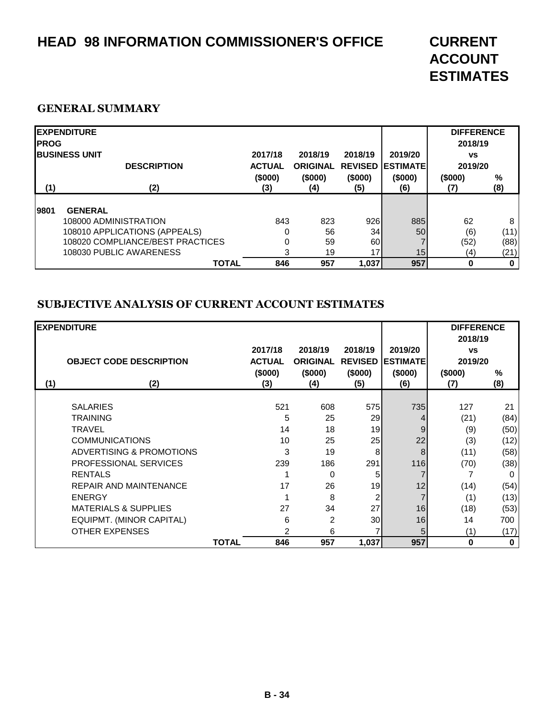# **HEAD 98 INFORMATION COMMISSIONER'S OFFICE CURRENT**

# **ACCOUNT ESTIMATES**

#### **GENERAL SUMMARY**

| <b>IPROG</b> | <b>EXPENDITURE</b><br><b>IBUSINESS UNIT</b>                                                                                             | 2017/18                         | 2018/19                           | 2018/19               | 2019/20                                   | <b>DIFFERENCE</b><br>2018/19<br><b>VS</b> |                   |
|--------------|-----------------------------------------------------------------------------------------------------------------------------------------|---------------------------------|-----------------------------------|-----------------------|-------------------------------------------|-------------------------------------------|-------------------|
| (1)          | <b>DESCRIPTION</b><br>(2)                                                                                                               | <b>ACTUAL</b><br>(\$000)<br>(3) | <b>ORIGINAL</b><br>(\$000)<br>(4) | (\$000)<br>(5)        | <b>REVISED ESTIMATE</b><br>(\$000)<br>(6) | 2019/20<br>(\$000)<br>(7)                 | %<br>(8)          |
| 9801         | <b>GENERAL</b><br>108000 ADMINISTRATION<br>108010 APPLICATIONS (APPEALS)<br>108020 COMPLIANCE/BEST PRACTICES<br>108030 PUBLIC AWARENESS | 843<br>0                        | 823<br>56<br>59<br>19             | 926<br>34<br>60<br>17 | 885<br>50<br>15                           | 62<br>(6)<br>(52)<br>(4)                  | 8<br>(11)<br>(88) |
|              | <b>TOTAL</b>                                                                                                                            | 846                             | 957                               | 1,037                 | 957                                       |                                           | (21)<br>$\bf{0}$  |

#### **SUBJECTIVE ANALYSIS OF CURRENT ACCOUNT ESTIMATES**

|     | <b>EXPENDITURE</b>                  |              |               |                 |                | <b>DIFFERENCE</b> |           |             |
|-----|-------------------------------------|--------------|---------------|-----------------|----------------|-------------------|-----------|-------------|
|     |                                     |              |               |                 |                |                   | 2018/19   |             |
|     |                                     |              | 2017/18       | 2018/19         | 2018/19        | 2019/20           | <b>VS</b> |             |
|     | <b>OBJECT CODE DESCRIPTION</b>      |              | <b>ACTUAL</b> | <b>ORIGINAL</b> | <b>REVISED</b> | <b>ESTIMATE</b>   | 2019/20   |             |
|     |                                     |              | (\$000)       | (\$000)         | (\$000)        | (\$000)           | (\$000)   | %           |
| (1) | (2)                                 |              | (3)           | (4)             | (5)            | (6)               | (7)       | (8)         |
|     |                                     |              |               |                 |                |                   |           |             |
|     | <b>SALARIES</b>                     |              | 521           | 608             | 575            | 735               | 127       | 21          |
|     | <b>TRAINING</b>                     |              | 5             | 25              | 29             | 4                 | (21)      | (84)        |
|     | <b>TRAVEL</b>                       |              | 14            | 18              | 19             | 9                 | (9)       | (50)        |
|     | <b>COMMUNICATIONS</b>               |              | 10            | 25              | 25             | 22                | (3)       | (12)        |
|     | <b>ADVERTISING &amp; PROMOTIONS</b> |              | 3             | 19              | 8              | 8                 | (11)      | (58)        |
|     | PROFESSIONAL SERVICES               |              | 239           | 186             | 291            | 116               | (70)      | (38)        |
|     | <b>RENTALS</b>                      |              |               | $\Omega$        | 5              |                   |           | $\Omega$    |
|     | <b>REPAIR AND MAINTENANCE</b>       |              | 17            | 26              | 19             | 12                | (14)      | (54)        |
|     | <b>ENERGY</b>                       |              |               | 8               | 2              |                   | (1)       | (13)        |
|     | <b>MATERIALS &amp; SUPPLIES</b>     |              | 27            | 34              | 27             | 16                | (18)      | (53)        |
|     | EQUIPMT. (MINOR CAPITAL)            |              | 6             | $\overline{2}$  | 30             | 16                | 14        | 700         |
|     | <b>OTHER EXPENSES</b>               |              | 2             | 6               |                | 5                 | (1)       | (17)        |
|     |                                     | <b>TOTAL</b> | 846           | 957             | 1,037          | 957               | 0         | $\mathbf 0$ |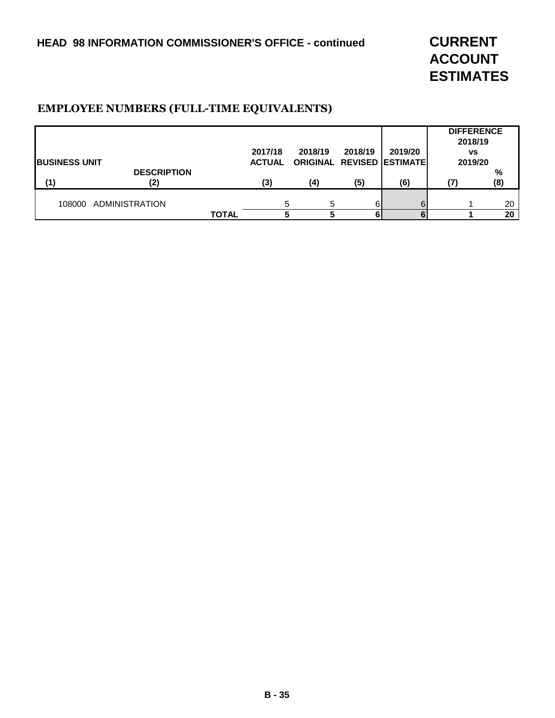**ACCOUNT ESTIMATES**

#### **EMPLOYEE NUMBERS (FULL-TIME EQUIVALENTS)**

|                       |                    |              |               |         |         |                                  | <b>DIFFERENCE</b><br>2018/19 |     |
|-----------------------|--------------------|--------------|---------------|---------|---------|----------------------------------|------------------------------|-----|
|                       |                    |              | 2017/18       | 2018/19 | 2018/19 | 2019/20                          | <b>VS</b>                    |     |
| <b>IBUSINESS UNIT</b> |                    |              | <b>ACTUAL</b> |         |         | <b>ORIGINAL REVISED ESTIMATE</b> | 2019/20                      |     |
|                       | <b>DESCRIPTION</b> |              |               |         |         |                                  |                              | %   |
| (1)                   | (2)                |              | (3)           | (4)     | (5)     | (6)                              |                              | (8) |
|                       |                    |              |               |         |         |                                  |                              |     |
| 108000                | ADMINISTRATION     |              |               | 5       |         | 6                                |                              | 20  |
|                       |                    | <b>TOTAL</b> |               |         |         |                                  |                              | 20  |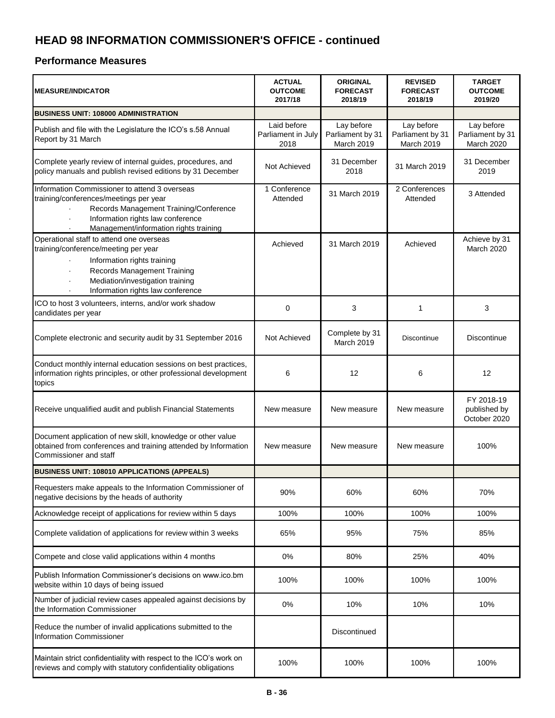# **HEAD 98 INFORMATION COMMISSIONER'S OFFICE - continued**

#### **Performance Measures**

| <b>MEASURE/INDICATOR</b>                                                                                                                                                                                                       | <b>ACTUAL</b><br><b>OUTCOME</b><br>2017/18 | <b>ORIGINAL</b><br><b>FORECAST</b><br>2018/19 | <b>REVISED</b><br><b>FORECAST</b><br>2018/19 | <b>TARGET</b><br><b>OUTCOME</b><br>2019/20   |
|--------------------------------------------------------------------------------------------------------------------------------------------------------------------------------------------------------------------------------|--------------------------------------------|-----------------------------------------------|----------------------------------------------|----------------------------------------------|
| <b>BUSINESS UNIT: 108000 ADMINISTRATION</b>                                                                                                                                                                                    |                                            |                                               |                                              |                                              |
| Publish and file with the Legislature the ICO's s.58 Annual<br>Report by 31 March                                                                                                                                              | Laid before<br>Parliament in July<br>2018  | Lay before<br>Parliament by 31<br>March 2019  | Lay before<br>Parliament by 31<br>March 2019 | Lay before<br>Parliament by 31<br>March 2020 |
| Complete yearly review of internal guides, procedures, and<br>policy manuals and publish revised editions by 31 December                                                                                                       | Not Achieved                               | 31 December<br>2018                           | 31 March 2019                                | 31 December<br>2019                          |
| Information Commissioner to attend 3 overseas<br>training/conferences/meetings per year<br>Records Management Training/Conference<br>Information rights law conference<br>$\epsilon$<br>Management/information rights training | 1 Conference<br>Attended                   | 31 March 2019                                 | 2 Conferences<br>Attended                    | 3 Attended                                   |
| Operational staff to attend one overseas<br>training/conference/meeting per year<br>Information rights training<br><b>Records Management Training</b><br>Mediation/investigation training<br>Information rights law conference | Achieved                                   | 31 March 2019                                 | Achieved                                     | Achieve by 31<br>March 2020                  |
| ICO to host 3 volunteers, interns, and/or work shadow<br>candidates per year                                                                                                                                                   | 0                                          | 3                                             | 1                                            | 3                                            |
| Complete electronic and security audit by 31 September 2016                                                                                                                                                                    | Not Achieved                               | Complete by 31<br>March 2019                  | Discontinue                                  | Discontinue                                  |
| Conduct monthly internal education sessions on best practices,<br>information rights principles, or other professional development<br>topics                                                                                   | 6                                          | 12                                            | 6                                            | 12                                           |
| Receive unqualified audit and publish Financial Statements                                                                                                                                                                     | New measure                                | New measure                                   | New measure                                  | FY 2018-19<br>published by<br>October 2020   |
| Document application of new skill, knowledge or other value<br>obtained from conferences and training attended by Information<br>Commissioner and staff                                                                        | New measure                                | New measure                                   | New measure                                  | 100%                                         |
| <b>BUSINESS UNIT: 108010 APPLICATIONS (APPEALS)</b>                                                                                                                                                                            |                                            |                                               |                                              |                                              |
| Requesters make appeals to the Information Commissioner of<br>negative decisions by the heads of authority                                                                                                                     | 90%                                        | 60%                                           | 60%                                          | 70%                                          |
| Acknowledge receipt of applications for review within 5 days                                                                                                                                                                   | 100%                                       | 100%                                          | 100%                                         | 100%                                         |
| Complete validation of applications for review within 3 weeks                                                                                                                                                                  | 65%                                        | 95%                                           | 75%                                          | 85%                                          |
| Compete and close valid applications within 4 months                                                                                                                                                                           | 0%                                         | 80%                                           | 25%                                          | 40%                                          |
| Publish Information Commissioner's decisions on www.ico.bm<br>website within 10 days of being issued                                                                                                                           | 100%                                       | 100%                                          | 100%                                         | 100%                                         |
| Number of judicial review cases appealed against decisions by<br>the Information Commissioner                                                                                                                                  | 0%                                         | 10%                                           | 10%                                          | 10%                                          |
| Reduce the number of invalid applications submitted to the<br><b>Information Commissioner</b>                                                                                                                                  |                                            | Discontinued                                  |                                              |                                              |
| Maintain strict confidentiality with respect to the ICO's work on<br>reviews and comply with statutory confidentiality obligations                                                                                             | 100%                                       | 100%                                          | 100%                                         | 100%                                         |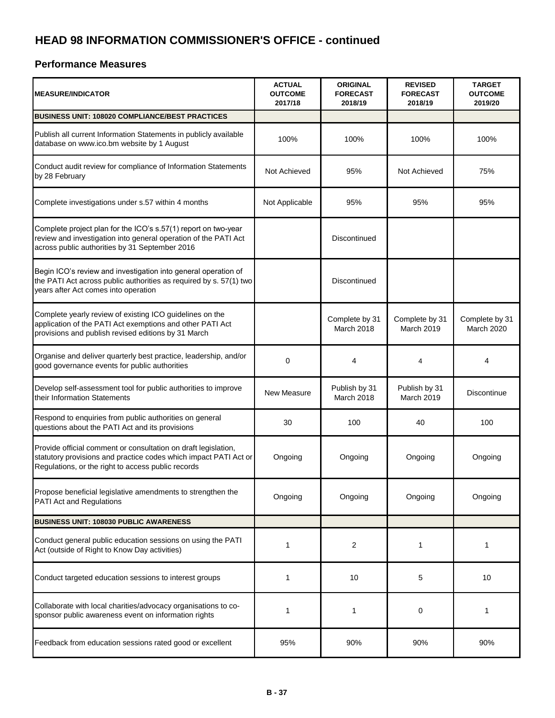# **HEAD 98 INFORMATION COMMISSIONER'S OFFICE - continued**

#### **Performance Measures**

| <b>MEASURE/INDICATOR</b>                                                                                                                                                                 | <b>ACTUAL</b><br><b>OUTCOME</b><br>2017/18 | <b>ORIGINAL</b><br><b>FORECAST</b><br>2018/19 | <b>REVISED</b><br><b>FORECAST</b><br>2018/19 | <b>TARGET</b><br><b>OUTCOME</b><br>2019/20 |
|------------------------------------------------------------------------------------------------------------------------------------------------------------------------------------------|--------------------------------------------|-----------------------------------------------|----------------------------------------------|--------------------------------------------|
| <b>BUSINESS UNIT: 108020 COMPLIANCE/BEST PRACTICES</b>                                                                                                                                   |                                            |                                               |                                              |                                            |
| Publish all current Information Statements in publicly available<br>database on www.ico.bm website by 1 August                                                                           | 100%                                       | 100%                                          | 100%                                         | 100%                                       |
| Conduct audit review for compliance of Information Statements<br>by 28 February                                                                                                          | Not Achieved                               | 95%                                           | Not Achieved                                 | 75%                                        |
| Complete investigations under s.57 within 4 months                                                                                                                                       | Not Applicable                             | 95%                                           | 95%                                          | 95%                                        |
| Complete project plan for the ICO's s.57(1) report on two-year<br>review and investigation into general operation of the PATI Act<br>across public authorities by 31 September 2016      |                                            | Discontinued                                  |                                              |                                            |
| Begin ICO's review and investigation into general operation of<br>the PATI Act across public authorities as required by s. 57(1) two<br>years after Act comes into operation             |                                            | Discontinued                                  |                                              |                                            |
| Complete yearly review of existing ICO guidelines on the<br>application of the PATI Act exemptions and other PATI Act<br>provisions and publish revised editions by 31 March             |                                            | Complete by 31<br>March 2018                  | Complete by 31<br>March 2019                 | Complete by 31<br>March 2020               |
| Organise and deliver quarterly best practice, leadership, and/or<br>good governance events for public authorities                                                                        | 0                                          | 4                                             | 4                                            | 4                                          |
| Develop self-assessment tool for public authorities to improve<br>their Information Statements                                                                                           | <b>New Measure</b>                         | Publish by 31<br>March 2018                   | Publish by 31<br>March 2019                  | <b>Discontinue</b>                         |
| Respond to enquiries from public authorities on general<br>questions about the PATI Act and its provisions                                                                               | 30                                         | 100                                           | 40                                           | 100                                        |
| Provide official comment or consultation on draft legislation,<br>statutory provisions and practice codes which impact PATI Act or<br>Regulations, or the right to access public records | Ongoing                                    | Ongoing                                       | Ongoing                                      | Ongoing                                    |
| Propose beneficial legislative amendments to strengthen the<br>PATI Act and Regulations                                                                                                  | Ongoing                                    | Ongoing                                       | Ongoing                                      | Ongoing                                    |
| <b>BUSINESS UNIT: 108030 PUBLIC AWARENESS</b>                                                                                                                                            |                                            |                                               |                                              |                                            |
| Conduct general public education sessions on using the PATI<br>Act (outside of Right to Know Day activities)                                                                             | 1                                          | $\overline{c}$                                | 1                                            | 1                                          |
| Conduct targeted education sessions to interest groups                                                                                                                                   | 1                                          | 10                                            | 5                                            | 10                                         |
| Collaborate with local charities/advocacy organisations to co-<br>sponsor public awareness event on information rights                                                                   | 1                                          | 1                                             | 0                                            | 1                                          |
| Feedback from education sessions rated good or excellent                                                                                                                                 | 95%                                        | 90%                                           | 90%                                          | 90%                                        |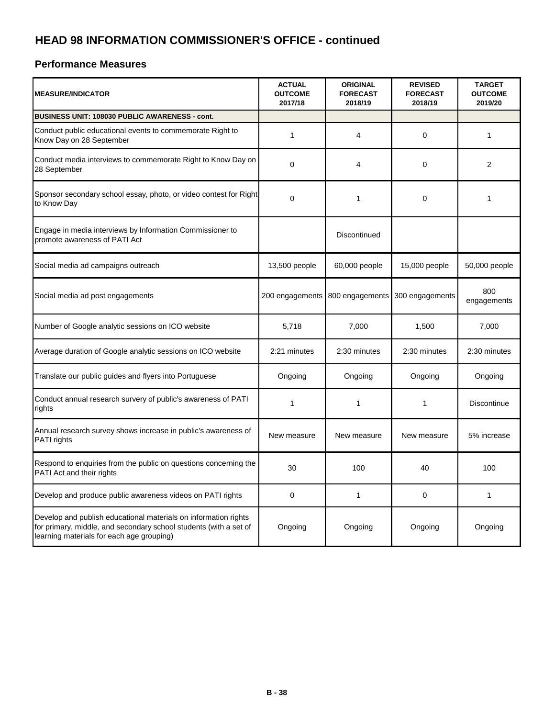# **HEAD 98 INFORMATION COMMISSIONER'S OFFICE - continued**

#### **Performance Measures**

| <b>MEASURE/INDICATOR</b>                                                                                                                                                          | <b>ACTUAL</b><br><b>OUTCOME</b><br>2017/18 | <b>ORIGINAL</b><br><b>FORECAST</b><br>2018/19 | <b>REVISED</b><br><b>FORECAST</b><br>2018/19 | <b>TARGET</b><br><b>OUTCOME</b><br>2019/20 |
|-----------------------------------------------------------------------------------------------------------------------------------------------------------------------------------|--------------------------------------------|-----------------------------------------------|----------------------------------------------|--------------------------------------------|
| BUSINESS UNIT: 108030 PUBLIC AWARENESS - cont.                                                                                                                                    |                                            |                                               |                                              |                                            |
| Conduct public educational events to commemorate Right to<br>Know Day on 28 September                                                                                             | 1                                          | 4                                             | $\Omega$                                     | $\mathbf{1}$                               |
| Conduct media interviews to commemorate Right to Know Day on<br>28 September                                                                                                      | $\mathbf{0}$                               | 4                                             | 0                                            | 2                                          |
| Sponsor secondary school essay, photo, or video contest for Right<br>to Know Day                                                                                                  | 0                                          | 1                                             | 0                                            | 1                                          |
| Engage in media interviews by Information Commissioner to<br>promote awareness of PATI Act                                                                                        |                                            | Discontinued                                  |                                              |                                            |
| Social media ad campaigns outreach                                                                                                                                                | 13,500 people                              | 60,000 people                                 | 15,000 people                                | 50,000 people                              |
| Social media ad post engagements                                                                                                                                                  | 200 engagements                            | 800 engagements                               | 300 engagements                              | 800<br>engagements                         |
| Number of Google analytic sessions on ICO website                                                                                                                                 | 5,718                                      | 7,000                                         | 1,500                                        | 7,000                                      |
| Average duration of Google analytic sessions on ICO website                                                                                                                       | 2:21 minutes                               | 2:30 minutes                                  | 2:30 minutes                                 | 2:30 minutes                               |
| Translate our public guides and flyers into Portuguese                                                                                                                            | Ongoing                                    | Ongoing                                       | Ongoing                                      | Ongoing                                    |
| Conduct annual research survery of public's awareness of PATI<br>rights                                                                                                           | 1                                          | 1                                             | 1                                            | Discontinue                                |
| Annual research survey shows increase in public's awareness of<br>PATI rights                                                                                                     | New measure                                | New measure                                   | New measure                                  | 5% increase                                |
| Respond to enquiries from the public on questions concerning the<br>PATI Act and their rights                                                                                     | 30                                         | 100                                           | 40                                           | 100                                        |
| Develop and produce public awareness videos on PATI rights                                                                                                                        | $\mathbf 0$                                | $\mathbf{1}$                                  | 0                                            | $\mathbf{1}$                               |
| Develop and publish educational materials on information rights<br>for primary, middle, and secondary school students (with a set of<br>learning materials for each age grouping) | Ongoing                                    | Ongoing                                       | Ongoing                                      | Ongoing                                    |